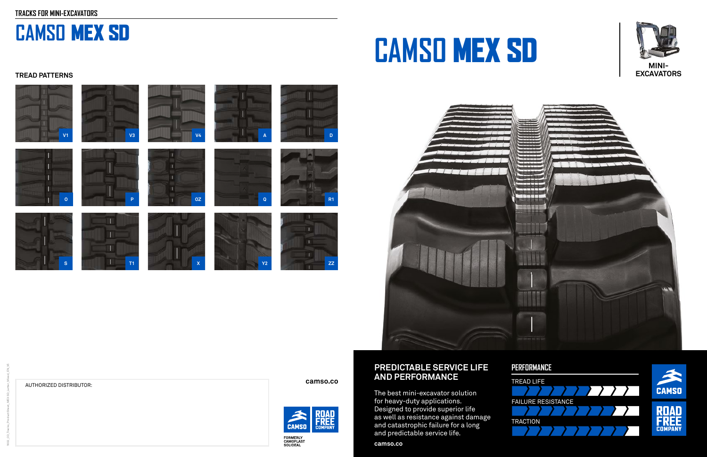### **PREDICTABLE SERVICE LIFE AND PERFORMANCE**

The best mini-excavator solution for heavy-duty applications. Designed to provide superior life as well as resistance against damage and catastrophic failure for a long and predictable service life.

**camso.co**

# **CAMSO** MEX SD



## **EXCAVATORS**

AUTHORIZED DISTRIBUTOR: **camso.co**







# **CAMSO** MEX SD

### **PERFORMANCE**







### **TREAD PATTERNS**